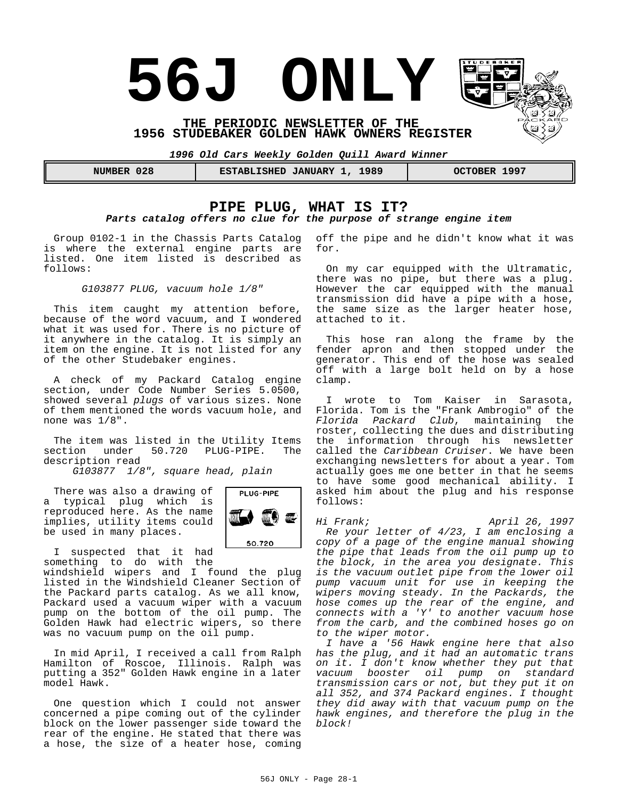# **56J ONLY**

**THE PERIODIC NEWSLETTER OF THE 1956 STUDEBAKER GOLDEN HAWK OWNERS REGISTER** 

*1996 Old Cars Weekly Golden Quill Award Winner*

| 028<br>NUMBER | 1989<br><b>JANUARY</b><br><b>ESTABLISHED</b> | 1997<br><b>OCTOBER</b> |
|---------------|----------------------------------------------|------------------------|
|               |                                              |                        |

# **PIPE PLUG, WHAT IS IT?** *Parts catalog offers no clue for the purpose of strange engine item*

Group 0102-1 in the Chassis Parts Catalog is where the external engine parts are listed. One item listed is described as follows:

*G103877 PLUG, vacuum hole 1/8"*

This item caught my attention before, because of the word vacuum, and I wondered what it was used for. There is no picture of it anywhere in the catalog. It is simply an item on the engine. It is not listed for any of the other Studebaker engines.

A check of my Packard Catalog engine section, under Code Number Series 5.0500, showed several *plugs* of various sizes. None of them mentioned the words vacuum hole, and none was 1/8".

The item was listed in the Utility Items<br>ection under 50.720 PLUG-PIPE. The section under description read

*G103877 1/8", square head, plain*

There was also a drawing of a typical plug which is reproduced here. As the name implies, utility items could be used in many places.



I suspected that it had something to do with the

windshield wipers and I found the plug listed in the Windshield Cleaner Section of the Packard parts catalog. As we all know, Packard used a vacuum wiper with a vacuum pump on the bottom of the oil pump. The Golden Hawk had electric wipers, so there was no vacuum pump on the oil pump.

In mid April, I received a call from Ralph Hamilton of Roscoe, Illinois. Ralph was putting a 352" Golden Hawk engine in a later model Hawk.

One question which I could not answer concerned a pipe coming out of the cylinder block on the lower passenger side toward the rear of the engine. He stated that there was a hose, the size of a heater hose, coming off the pipe and he didn't know what it was for.

On my car equipped with the Ultramatic, there was no pipe, but there was a plug. However the car equipped with the manual transmission did have a pipe with a hose, the same size as the larger heater hose, attached to it.

This hose ran along the frame by the fender apron and then stopped under the generator. This end of the hose was sealed off with a large bolt held on by a hose clamp.

I wrote to Tom Kaiser in Sarasota, Florida. Tom is the "Frank Ambrogio" of the *Florida Packard Club*, maintaining the roster, collecting the dues and distributing the information through his newsletter called the *Caribbean Cruiser*. We have been exchanging newsletters for about a year. Tom actually goes me one better in that he seems to have some good mechanical ability. I asked him about the plug and his response follows:

*Hi Frank; April 26, 1997 Re your letter of 4/23, I am enclosing a copy of a page of the engine manual showing the pipe that leads from the oil pump up to the block, in the area you designate. This is the vacuum outlet pipe from the lower oil pump vacuum unit for use in keeping the wipers moving steady. In the Packards, the hose comes up the rear of the engine, and connects with a 'Y' to another vacuum hose from the carb, and the combined hoses go on to the wiper motor.* 

*I have a '56 Hawk engine here that also has the plug, and it had an automatic trans on it. I don't know whether they put that vacuum booster oil pump on standard transmission cars or not, but they put it on all 352, and 374 Packard engines. I thought they did away with that vacuum pump on the hawk engines, and therefore the plug in the block!*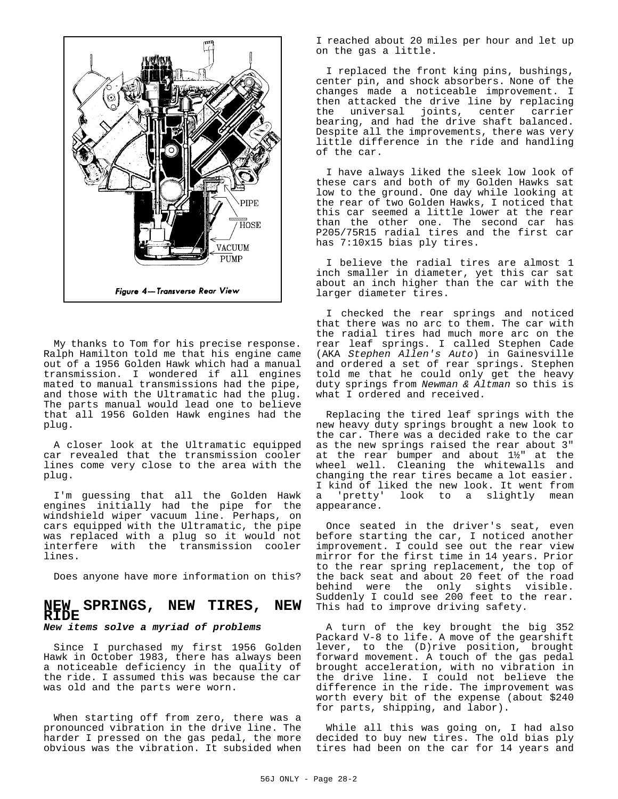

My thanks to Tom for his precise response. Ralph Hamilton told me that his engine came out of a 1956 Golden Hawk which had a manual transmission. I wondered if all engines mated to manual transmissions had the pipe, and those with the Ultramatic had the plug. The parts manual would lead one to believe that all 1956 Golden Hawk engines had the plug.

A closer look at the Ultramatic equipped car revealed that the transmission cooler lines come very close to the area with the plug.

I'm guessing that all the Golden Hawk engines initially had the pipe for the windshield wiper vacuum line. Perhaps, on cars equipped with the Ultramatic, the pipe was replaced with a plug so it would not interfere with the transmission cooler lines.

Does anyone have more information on this?

#### **NEW SPRINGS, NEW TIRES, NEW RIDE** *New items solve a myriad of problems*

Since I purchased my first 1956 Golden Hawk in October 1983, there has always been a noticeable deficiency in the quality of the ride. I assumed this was because the car was old and the parts were worn.

When starting off from zero, there was a pronounced vibration in the drive line. The harder I pressed on the gas pedal, the more obvious was the vibration. It subsided when I reached about 20 miles per hour and let up on the gas a little.

I replaced the front king pins, bushings, center pin, and shock absorbers. None of the changes made a noticeable improvement. I then attacked the drive line by replacing the universal joints, center carrier bearing, and had the drive shaft balanced. Despite all the improvements, there was very little difference in the ride and handling of the car.

I have always liked the sleek low look of these cars and both of my Golden Hawks sat low to the ground. One day while looking at the rear of two Golden Hawks, I noticed that this car seemed a little lower at the rear than the other one. The second car has P205/75R15 radial tires and the first car has 7:10x15 bias ply tires.

I believe the radial tires are almost 1 inch smaller in diameter, yet this car sat about an inch higher than the car with the larger diameter tires.

I checked the rear springs and noticed that there was no arc to them. The car with the radial tires had much more arc on the rear leaf springs. I called Stephen Cade (AKA *Stephen Allen's Auto*) in Gainesville and ordered a set of rear springs. Stephen told me that he could only get the heavy duty springs from *Newman & Altman* so this is what I ordered and received.

Replacing the tired leaf springs with the new heavy duty springs brought a new look to the car. There was a decided rake to the car as the new springs raised the rear about 3" at the rear bumper and about 1½" at the wheel well. Cleaning the whitewalls and changing the rear tires became a lot easier. I kind of liked the new look. It went from a 'pretty' look to a slightly mean appearance.

Once seated in the driver's seat, even before starting the car, I noticed another improvement. I could see out the rear view mirror for the first time in 14 years. Prior to the rear spring replacement, the top of the back seat and about 20 feet of the road behind were the only sights visible. Suddenly I could see 200 feet to the rear. This had to improve driving safety.

A turn of the key brought the big 352 Packard V-8 to life. A move of the gearshift lever, to the (D)rive position, brought forward movement. A touch of the gas pedal brought acceleration, with no vibration in the drive line. I could not believe the difference in the ride. The improvement was worth every bit of the expense (about \$240 for parts, shipping, and labor).

While all this was going on, I had also decided to buy new tires. The old bias ply tires had been on the car for 14 years and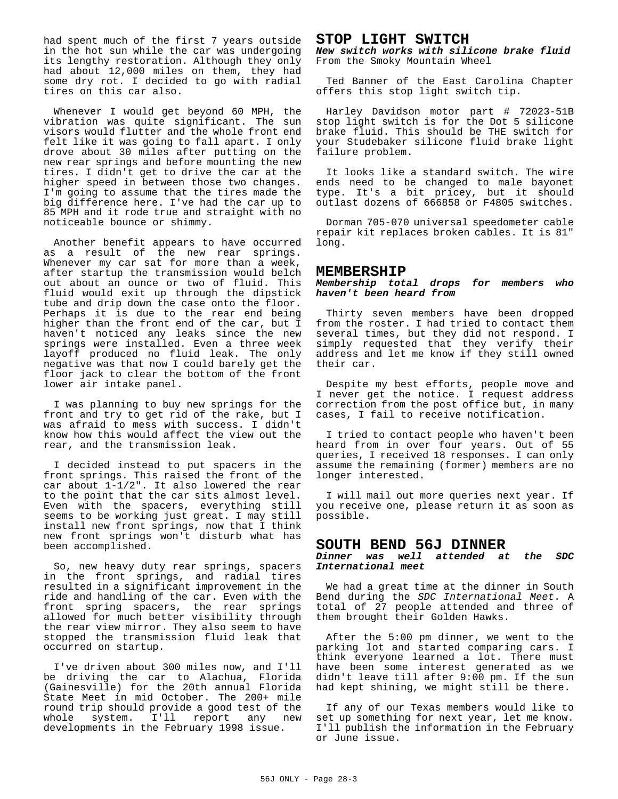had spent much of the first 7 years outside in the hot sun while the car was undergoing its lengthy restoration. Although they only had about 12,000 miles on them, they had some dry rot. I decided to go with radial tires on this car also.

Whenever I would get beyond 60 MPH, the vibration was quite significant. The sun visors would flutter and the whole front end felt like it was going to fall apart. I only drove about 30 miles after putting on the new rear springs and before mounting the new tires. I didn't get to drive the car at the higher speed in between those two changes. I'm going to assume that the tires made the big difference here. I've had the car up to 85 MPH and it rode true and straight with no noticeable bounce or shimmy.

Another benefit appears to have occurred as a result of the new rear springs. Whenever my car sat for more than a week, after startup the transmission would belch out about an ounce or two of fluid. This fluid would exit up through the dipstick tube and drip down the case onto the floor. Perhaps it is due to the rear end being higher than the front end of the car, but I haven't noticed any leaks since the new springs were installed. Even a three week layoff produced no fluid leak. The only negative was that now I could barely get the floor jack to clear the bottom of the front lower air intake panel.

I was planning to buy new springs for the front and try to get rid of the rake, but I was afraid to mess with success. I didn't know how this would affect the view out the rear, and the transmission leak.

I decided instead to put spacers in the front springs. This raised the front of the car about 1-1/2". It also lowered the rear to the point that the car sits almost level. Even with the spacers, everything still seems to be working just great. I may still install new front springs, now that I think new front springs won't disturb what has been accomplished.

So, new heavy duty rear springs, spacers in the front springs, and radial tires resulted in a significant improvement in the ride and handling of the car. Even with the front spring spacers, the rear springs allowed for much better visibility through the rear view mirror. They also seem to have stopped the transmission fluid leak that occurred on startup.

I've driven about 300 miles now, and I'll be driving the car to Alachua, Florida (Gainesville) for the 20th annual Florida State Meet in mid October. The 200+ mile round trip should provide a good test of the whole system. I'll report any new developments in the February 1998 issue.

## **STOP LIGHT SWITCH**

*New switch works with silicone brake fluid* From the Smoky Mountain Wheel

Ted Banner of the East Carolina Chapter offers this stop light switch tip.

Harley Davidson motor part # 72023-51B stop light switch is for the Dot 5 silicone brake fluid. This should be THE switch for your Studebaker silicone fluid brake light failure problem.

It looks like a standard switch. The wire ends need to be changed to male bayonet type. It's a bit pricey, but it should outlast dozens of 666858 or F4805 switches.

Dorman 705-070 universal speedometer cable repair kit replaces broken cables. It is 81" long.

#### **MEMBERSHIP**

*Membership total drops for members who haven't been heard from*

Thirty seven members have been dropped from the roster. I had tried to contact them several times, but they did not respond. I simply requested that they verify their address and let me know if they still owned their car.

Despite my best efforts, people move and I never get the notice. I request address correction from the post office but, in many cases, I fail to receive notification.

I tried to contact people who haven't been heard from in over four years. Out of 55 queries, I received 18 responses. I can only assume the remaining (former) members are no longer interested.

I will mail out more queries next year. If you receive one, please return it as soon as possible.

#### **SOUTH BEND 56J DINNER**

*Dinner was well attended at the SDC International meet*

We had a great time at the dinner in South Bend during the *SDC International Meet*. A total of 27 people attended and three of them brought their Golden Hawks.

After the 5:00 pm dinner, we went to the parking lot and started comparing cars. I think everyone learned a lot. There must have been some interest generated as we didn't leave till after 9:00 pm. If the sun had kept shining, we might still be there.

If any of our Texas members would like to set up something for next year, let me know. I'll publish the information in the February or June issue.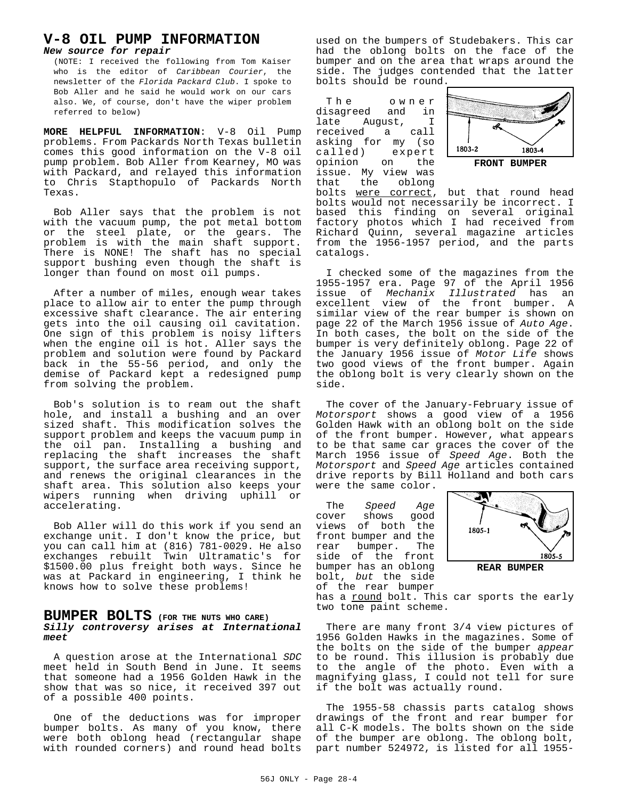## **V-8 OIL PUMP INFORMATION** *New source for repair*

(NOTE: I received the following from Tom Kaiser who is the editor of *Caribbean Courier*, the newsletter of the *Florida Packard Club*. I spoke to Bob Aller and he said he would work on our cars also. We, of course, don't have the wiper problem referred to below)

**MORE HELPFUL INFORMATION**: V-8 Oil Pump problems. From Packards North Texas bulletin comes this good information on the V-8 oil pump problem. Bob Aller from Kearney, MO was with Packard, and relayed this information to Chris Stapthopulo of Packards North Texas.

Bob Aller says that the problem is not with the vacuum pump, the pot metal bottom or the steel plate, or the gears. The problem is with the main shaft support. There is NONE! The shaft has no special support bushing even though the shaft is longer than found on most oil pumps.

After a number of miles, enough wear takes place to allow air to enter the pump through excessive shaft clearance. The air entering gets into the oil causing oil cavitation. One sign of this problem is noisy lifters when the engine oil is hot. Aller says the problem and solution were found by Packard back in the 55-56 period, and only the demise of Packard kept a redesigned pump from solving the problem.

Bob's solution is to ream out the shaft hole, and install a bushing and an over sized shaft. This modification solves the support problem and keeps the vacuum pump in the oil pan. Installing a bushing and replacing the shaft increases the shaft support, the surface area receiving support, and renews the original clearances in the shaft area. This solution also keeps your wipers running when driving uphill or accelerating.

Bob Aller will do this work if you send an exchange unit. I don't know the price, but you can call him at (816) 781-0029. He also exchanges rebuilt Twin Ultramatic's for \$1500.00 plus freight both ways. Since he was at Packard in engineering, I think he knows how to solve these problems!

#### **BUMPER BOLTS (FOR THE NUTS WHO CARE)** *Silly controversy arises at International meet*

A question arose at the International *SDC* meet held in South Bend in June. It seems that someone had a 1956 Golden Hawk in the show that was so nice, it received 397 out of a possible 400 points.

One of the deductions was for improper bumper bolts. As many of you know, there were both oblong head (rectangular shape with rounded corners) and round head bolts used on the bumpers of Studebakers. This car had the oblong bolts on the face of the bumper and on the area that wraps around the side. The judges contended that the latter bolts should be round.

The owner disagreed and in<br>late Auqust, I August, received a call asking for my (so<br>called) expert expert<br>on the opinion on the issue. My view was<br>that the oblong oblong



bolts were correct, but that round head bolts would not necessarily be incorrect. I based this finding on several original factory photos which I had received from Richard Quinn, several magazine articles from the 1956-1957 period, and the parts catalogs.

I checked some of the magazines from the 1955-1957 era. Page 97 of the April 1956 issue of *Mechanix Illustrated* has an excellent view of the front bumper. A similar view of the rear bumper is shown on page 22 of the March 1956 issue of *Auto Age*. In both cases, the bolt on the side of the bumper is very definitely oblong. Page 22 of the January 1956 issue of *Motor Life* shows two good views of the front bumper. Again the oblong bolt is very clearly shown on the side.

The cover of the January-February issue of *Motorsport* shows a good view of a 1956 Golden Hawk with an oblong bolt on the side of the front bumper. However, what appears to be that same car graces the cover of the March 1956 issue of *Speed Age*. Both the *Motorsport* and *Speed Age* articles contained drive reports by Bill Holland and both cars

were the same color.

The *Speed Age*<br>cover shows good shows views of both the front bumper and the<br>rear bumper. The bumper. side of the front bumper has an oblong bolt, *but* the side of the rear bumper



has a round bolt. This car sports the early two tone paint scheme.

There are many front 3/4 view pictures of 1956 Golden Hawks in the magazines. Some of the bolts on the side of the bumper *appear* to be round. This illusion is probably due to the angle of the photo. Even with a magnifying glass, I could not tell for sure if the bolt was actually round.

The 1955-58 chassis parts catalog shows drawings of the front and rear bumper for all C-K models. The bolts shown on the side of the bumper are oblong. The oblong bolt, part number 524972, is listed for all 1955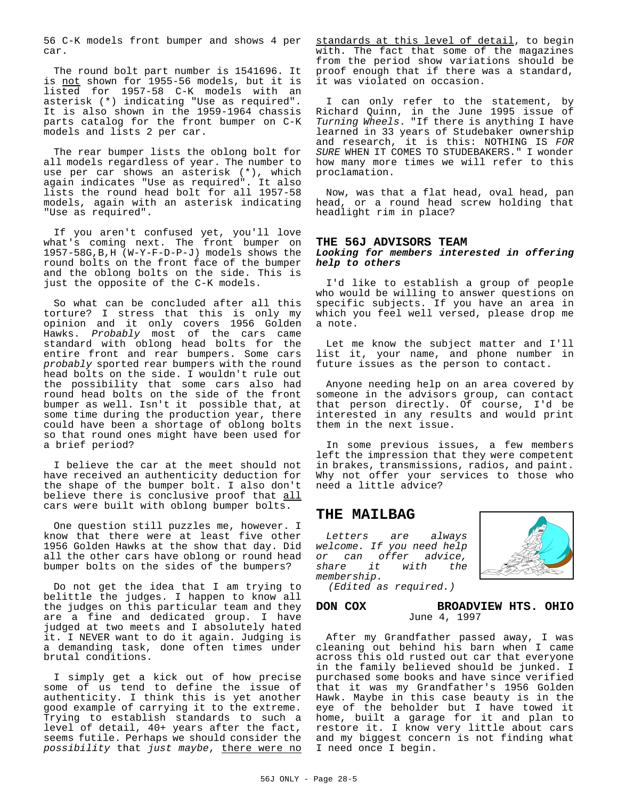56 C-K models front bumper and shows 4 per car.

The round bolt part number is 1541696. It is not shown for 1955-56 models, but it is listed for 1957-58 C-K models with an asterisk (\*) indicating "Use as required". It is also shown in the 1959-1964 chassis parts catalog for the front bumper on C-K models and lists 2 per car.

The rear bumper lists the oblong bolt for all models regardless of year. The number to use per car shows an asterisk (\*), which again indicates "Use as required". It also lists the round head bolt for all 1957-58 models, again with an asterisk indicating "Use as required".

If you aren't confused yet, you'll love what's coming next. The front bumper on 1957-58G,B,H (W-Y-F-D-P-J) models shows the round bolts on the front face of the bumper and the oblong bolts on the side. This is just the opposite of the C-K models.

So what can be concluded after all this torture? I stress that this is only my opinion and it only covers 1956 Golden Hawks. *Probably* most of the cars came standard with oblong head bolts for the entire front and rear bumpers. Some cars *probably* sported rear bumpers with the round head bolts on the side. I wouldn't rule out the possibility that some cars also had round head bolts on the side of the front bumper as well. Isn't it possible that, at some time during the production year, there could have been a shortage of oblong bolts so that round ones might have been used for a brief period?

I believe the car at the meet should not have received an authenticity deduction for the shape of the bumper bolt. I also don't believe there is conclusive proof that all cars were built with oblong bumper bolts.

One question still puzzles me, however. I know that there were at least five other 1956 Golden Hawks at the show that day. Did all the other cars have oblong or round head bumper bolts on the sides of the bumpers?

Do not get the idea that I am trying to belittle the judges. I happen to know all the judges on this particular team and they are a fine and dedicated group. I have judged at two meets and I absolutely hated it. I NEVER want to do it again. Judging is a demanding task, done often times under brutal conditions.

I simply get a kick out of how precise some of us tend to define the issue of authenticity. I think this is yet another good example of carrying it to the extreme. Trying to establish standards to such a level of detail, 40+ years after the fact, seems futile. Perhaps we should consider the *possibility* that *just maybe*, there were no standards at this level of detail, to begin with. The fact that some of the magazines from the period show variations should be proof enough that if there was a standard, it was violated on occasion.

I can only refer to the statement, by Richard Quinn, in the June 1995 issue of *Turning Wheels*. "If there is anything I have learned in 33 years of Studebaker ownership and research, it is this: NOTHING IS *FOR SURE* WHEN IT COMES TO STUDEBAKERS." I wonder how many more times we will refer to this proclamation.

Now, was that a flat head, oval head, pan head, or a round head screw holding that headlight rim in place?

#### **THE 56J ADVISORS TEAM**

#### *Looking for members interested in offering help to others*

I'd like to establish a group of people who would be willing to answer questions on specific subjects. If you have an area in which you feel well versed, please drop me a note.

Let me know the subject matter and I'll list it, your name, and phone number in future issues as the person to contact.

Anyone needing help on an area covered by someone in the advisors group, can contact that person directly. Of course, I'd be interested in any results and would print them in the next issue.

In some previous issues, a few members left the impression that they were competent in brakes, transmissions, radios, and paint. Why not offer your services to those who need a little advice?

# **THE MAILBAG**

*Letters are always welcome. If you need help or can offer advice, share it with the membership.*



*(Edited as required.)*

#### **DON COX BROADVIEW HTS. OHIO** June 4, 1997

After my Grandfather passed away, I was cleaning out behind his barn when I came across this old rusted out car that everyone in the family believed should be junked. I purchased some books and have since verified that it was my Grandfather's 1956 Golden Hawk. Maybe in this case beauty is in the eye of the beholder but I have towed it home, built a garage for it and plan to restore it. I know very little about cars and my biggest concern is not finding what I need once I begin.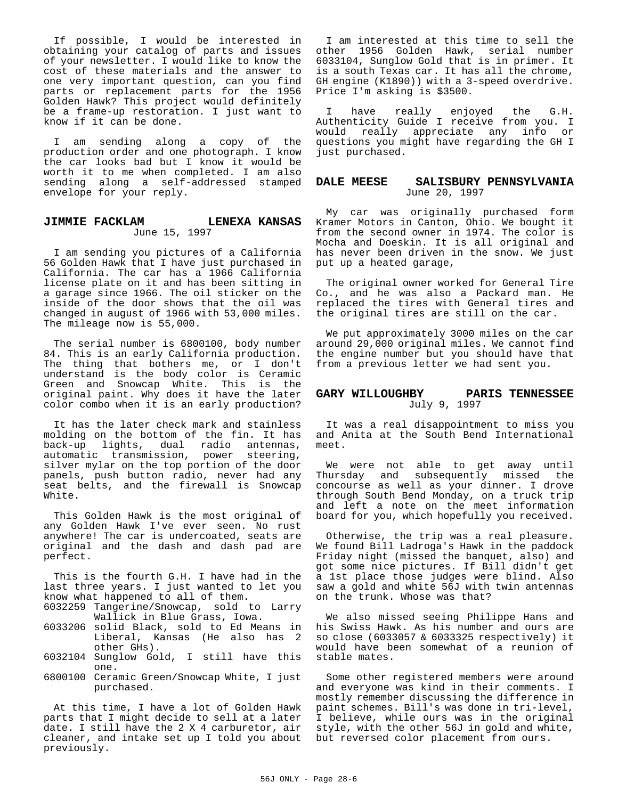If possible, I would be interested in obtaining your catalog of parts and issues of your newsletter. I would like to know the cost of these materials and the answer to one very important question, can you find parts or replacement parts for the 1956 Golden Hawk? This project would definitely be a frame-up restoration. I just want to know if it can be done.

I am sending along a copy of the production order and one photograph. I know the car looks bad but I know it would be worth it to me when completed. I am also sending along a self-addressed stamped envelope for your reply.

#### **JIMMIE FACKLAM LENEXA KANSAS** June 15, 1997

I am sending you pictures of a California 56 Golden Hawk that I have just purchased in California. The car has a 1966 California license plate on it and has been sitting in a garage since 1966. The oil sticker on the inside of the door shows that the oil was changed in august of 1966 with 53,000 miles. The mileage now is 55,000.

The serial number is 6800100, body number 84. This is an early California production. The thing that bothers me, or I don't understand is the body color is Ceramic Green and Snowcap White. This is the original paint. Why does it have the later color combo when it is an early production?

It has the later check mark and stainless molding on the bottom of the fin. It has back-up lights, dual radio antennas, automatic transmission, power steering, silver mylar on the top portion of the door panels, push button radio, never had any seat belts, and the firewall is Snowcap White.

This Golden Hawk is the most original of any Golden Hawk I've ever seen. No rust anywhere! The car is undercoated, seats are original and the dash and dash pad are perfect.

This is the fourth G.H. I have had in the last three years. I just wanted to let you know what happened to all of them.

- 6032259 Tangerine/Snowcap, sold to Larry Wallick in Blue Grass, Iowa.
- 6033206 solid Black, sold to Ed Means in Liberal, Kansas (He also has 2 other GHs).
- 6032104 Sunglow Gold, I still have this one.
- 6800100 Ceramic Green/Snowcap White, I just purchased.

At this time, I have a lot of Golden Hawk parts that I might decide to sell at a later date. I still have the 2 X 4 carburetor, air cleaner, and intake set up I told you about previously.

I am interested at this time to sell the other 1956 Golden Hawk, serial number 6033104, Sunglow Gold that is in primer. It is a south Texas car. It has all the chrome, GH engine (K1890)) with a 3-speed overdrive. Price I'm asking is \$3500.

I have really enjoyed the G.H. Authenticity Guide I receive from you. I would really appreciate any info or questions you might have regarding the GH I just purchased.

#### **DALE MEESE SALISBURY PENNSYLVANIA** June 20, 1997

My car was originally purchased form Kramer Motors in Canton, Ohio. We bought it from the second owner in 1974. The color is Mocha and Doeskin. It is all original and has never been driven in the snow. We just put up a heated garage,

The original owner worked for General Tire Co., and he was also a Packard man. He replaced the tires with General tires and the original tires are still on the car.

We put approximately 3000 miles on the car around 29,000 original miles. We cannot find the engine number but you should have that from a previous letter we had sent you.

#### **GARY WILLOUGHBY PARIS TENNESSEE** July 9, 1997

It was a real disappointment to miss you and Anita at the South Bend International meet.

We were not able to get away until Thursday and subsequently missed the concourse as well as your dinner. I drove through South Bend Monday, on a truck trip and left a note on the meet information board for you, which hopefully you received.

Otherwise, the trip was a real pleasure. We found Bill Ladroga's Hawk in the paddock Friday night (missed the banquet, also) and got some nice pictures. If Bill didn't get a 1st place those judges were blind. Also saw a gold and white 56J with twin antennas on the trunk. Whose was that?

We also missed seeing Philippe Hans and his Swiss Hawk. As his number and ours are so close (6033057 & 6033325 respectively) it would have been somewhat of a reunion of stable mates.

Some other registered members were around and everyone was kind in their comments. I mostly remember discussing the difference in paint schemes. Bill's was done in tri-level, I believe, while ours was in the original style, with the other 56J in gold and white, but reversed color placement from ours.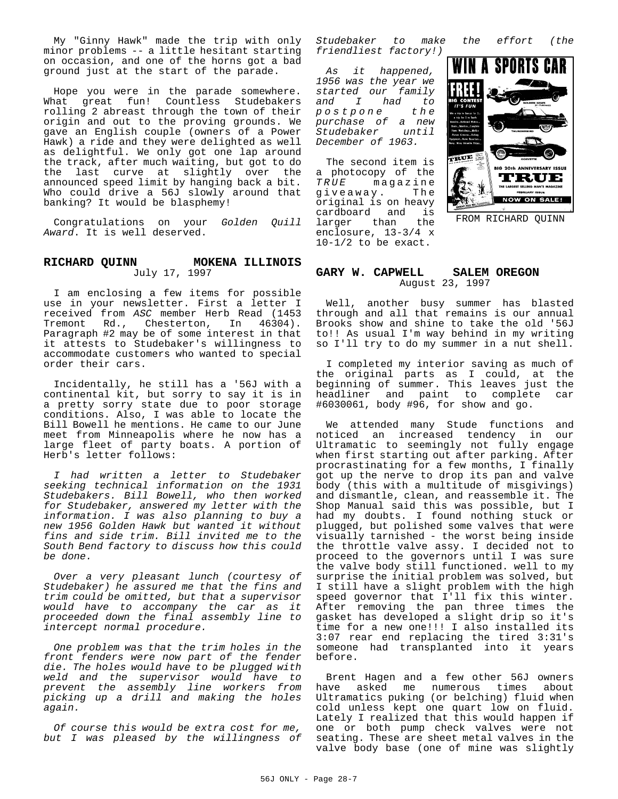My "Ginny Hawk" made the trip with only minor problems -- a little hesitant starting on occasion, and one of the horns got a bad ground just at the start of the parade.

Hope you were in the parade somewhere. What great fun! Countless Studebakers rolling 2 abreast through the town of their origin and out to the proving grounds. We gave an English couple (owners of a Power Hawk) a ride and they were delighted as well as delightful. We only got one lap around the track, after much waiting, but got to do the last curve at slightly over the announced speed limit by hanging back a bit. Who could drive a 56J slowly around that banking? It would be blasphemy!

Congratulations on your *Golden Quill Award*. It is well deserved.

#### **RICHARD QUINN MOKENA ILLINOIS** July 17, 1997

I am enclosing a few items for possible use in your newsletter. First a letter I received from *ASC* member Herb Read (1453 Tremont Rd., Chesterton, In 46304). Paragraph #2 may be of some interest in that it attests to Studebaker's willingness to accommodate customers who wanted to special order their cars.

Incidentally, he still has a '56J with a continental kit, but sorry to say it is in a pretty sorry state due to poor storage conditions. Also, I was able to locate the Bill Bowell he mentions. He came to our June meet from Minneapolis where he now has a large fleet of party boats. A portion of Herb's letter follows:

*I had written a letter to Studebaker seeking technical information on the 1931 Studebakers. Bill Bowell, who then worked for Studebaker, answered my letter with the information. I was also planning to buy a new 1956 Golden Hawk but wanted it without fins and side trim. Bill invited me to the South Bend factory to discuss how this could be done.*

*Over a very pleasant lunch (courtesy of Studebaker) he assured me that the fins and trim could be omitted, but that a supervisor would have to accompany the car as it proceeded down the final assembly line to intercept normal procedure.*

*One problem was that the trim holes in the front fenders were now part of the fender die. The holes would have to be plugged with weld and the supervisor would have to prevent the assembly line workers from picking up a drill and making the holes again.*

*Of course this would be extra cost for me, but I was pleased by the willingness of* *Studebaker to make the effort (the friendliest factory!)*

*As it happened, 1956 was the year we started our family and I had to*  $p$ *ostpone purchase of a new*  $Student$ *December of 1963.*

The second item is a photocopy of the<br>TRUE magazine magazine<br>av The giveaway. original is on heavy cardboard and is larger than the enclosure, 13-3/4 x 10-1/2 to be exact.



FROM RICHARD QUINN

#### **GARY W. CAPWELL SALEM OREGON** August 23, 1997

Well, another busy summer has blasted through and all that remains is our annual Brooks show and shine to take the old '56J to!! As usual I'm way behind in my writing so I'll try to do my summer in a nut shell.

I completed my interior saving as much of the original parts as I could, at the beginning of summer. This leaves just the headliner and paint to complete car #6030061, body #96, for show and go.

We attended many Stude functions and noticed an increased tendency in our Ultramatic to seemingly not fully engage when first starting out after parking. After procrastinating for a few months, I finally got up the nerve to drop its pan and valve body (this with a multitude of misgivings) and dismantle, clean, and reassemble it. The Shop Manual said this was possible, but I had my doubts. I found nothing stuck or plugged, but polished some valves that were visually tarnished - the worst being inside the throttle valve assy. I decided not to proceed to the governors until I was sure the valve body still functioned. well to my surprise the initial problem was solved, but I still have a slight problem with the high speed governor that I'll fix this winter. After removing the pan three times the gasket has developed a slight drip so it's time for a new one!!! I also installed its 3:07 rear end replacing the tired 3:31's someone had transplanted into it years before.

Brent Hagen and a few other 56J owners have asked me numerous times Ultramatics puking (or belching) fluid when cold unless kept one quart low on fluid. Lately I realized that this would happen if one or both pump check valves were not seating. These are sheet metal valves in the valve body base (one of mine was slightly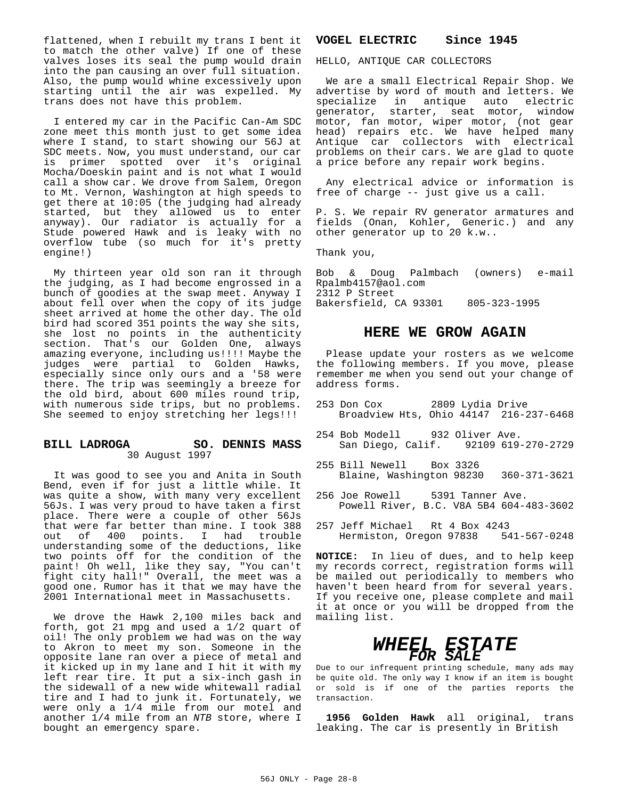flattened, when I rebuilt my trans I bent it to match the other valve) If one of these valves loses its seal the pump would drain into the pan causing an over full situation. Also, the pump would whine excessively upon starting until the air was expelled. My trans does not have this problem.

I entered my car in the Pacific Can-Am SDC zone meet this month just to get some idea where I stand, to start showing our 56J at SDC meets. Now, you must understand, our car is primer spotted over it's original Mocha/Doeskin paint and is not what I would call a show car. We drove from Salem, Oregon to Mt. Vernon, Washington at high speeds to get there at 10:05 (the judging had already started, but they allowed us to enter anyway). Our radiator is actually for a Stude powered Hawk and is leaky with no overflow tube (so much for it's pretty engine!)

My thirteen year old son ran it through the judging, as I had become engrossed in a bunch of goodies at the swap meet. Anyway I about fell over when the copy of its judge sheet arrived at home the other day. The old bird had scored 351 points the way she sits, she lost no points in the authenticity section. That's our Golden One, always amazing everyone, including us!!!! Maybe the judges were partial to Golden Hawks, especially since only ours and a '58 were there. The trip was seemingly a breeze for the old bird, about 600 miles round trip, with numerous side trips, but no problems. She seemed to enjoy stretching her legs!!!

#### **BILL LADROGA SO. DENNIS MASS** 30 August 1997

It was good to see you and Anita in South Bend, even if for just a little while. It was quite a show, with many very excellent 56Js. I was very proud to have taken a first place. There were a couple of other 56Js that were far better than mine. I took 388 out of 400 points. I had trouble understanding some of the deductions, like two points off for the condition of the paint! Oh well, like they say, "You can't fight city hall!" Overall, the meet was a good one. Rumor has it that we may have the 2001 International meet in Massachusetts.

We drove the Hawk 2,100 miles back and forth, got 21 mpg and used a 1/2 quart of oil! The only problem we had was on the way to Akron to meet my son. Someone in the opposite lane ran over a piece of metal and it kicked up in my lane and I hit it with my left rear tire. It put a six-inch gash in the sidewall of a new wide whitewall radial tire and I had to junk it. Fortunately, we were only a 1/4 mile from our motel and another 1/4 mile from an *NTB* store, where I bought an emergency spare.

#### **VOGEL ELECTRIC Since 1945**

HELLO, ANTIQUE CAR COLLECTORS

We are a small Electrical Repair Shop. We advertise by word of mouth and letters. We specialize in antique auto electric generator, starter, seat motor, window motor, fan motor, wiper motor, (not gear head) repairs etc. We have helped many Antique car collectors with electrical problems on their cars. We are glad to quote a price before any repair work begins.

Any electrical advice or information is free of charge -- just give us a call.

P. S. We repair RV generator armatures and fields (Onan, Kohler, Generic.) and any other generator up to 20 k.w..

Thank you,

Bob & Doug Palmbach (owners) e-mail Rpalmb4157@aol.com 2312 P Street Bakersfield, CA 93301 805-323-1995

# **HERE WE GROW AGAIN**

Please update your rosters as we welcome the following members. If you move, please remember me when you send out your change of address forms.

- 253 Don Cox 2809 Lydia Drive Broadview Hts, Ohio 44147 216-237-6468
- 254 Bob Modell 932 Oliver Ave. San Diego, Calif. 92109 619-270-2729
- 255 Bill Newell Box 3326 Blaine, Washington 98230 360-371-3621
- 256 Joe Rowell 5391 Tanner Ave. Powell River, B.C. V8A 5B4 604-483-3602
- 257 Jeff Michael Rt 4 Box 4243 Hermiston, Oregon 97838 541-567-0248

**NOTICE:** In lieu of dues, and to help keep my records correct, registration forms will be mailed out periodically to members who haven't been heard from for several years. If you receive one, please complete and mail it at once or you will be dropped from the mailing list.

# *WHEEL ESTATE FOR SALE*

Due to our infrequent printing schedule, many ads may be quite old. The only way I know if an item is bought or sold is if one of the parties reports the transaction.

**1956 Golden Hawk** all original, trans leaking. The car is presently in British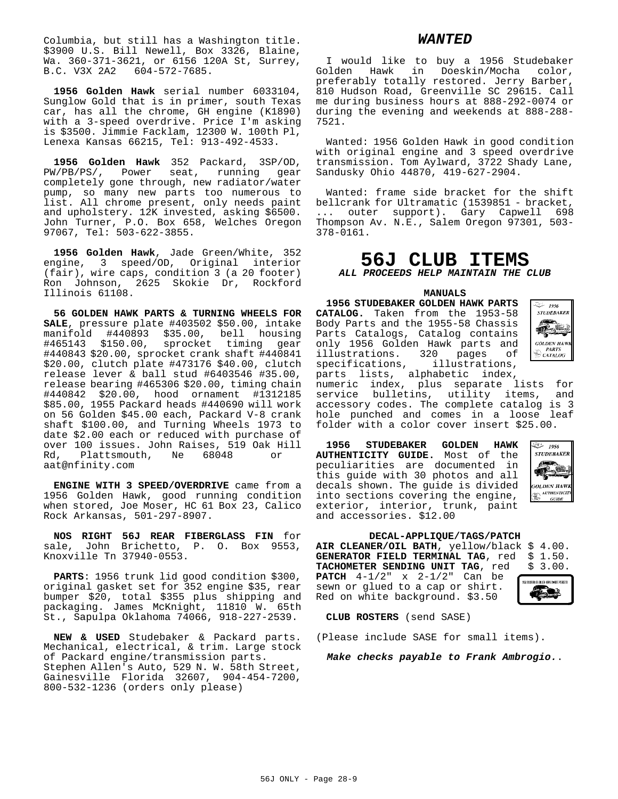Columbia, but still has a Washington title. \$3900 U.S. Bill Newell, Box 3326, Blaine, Wa. 360-371-3621, or 6156 120A St, Surrey,<br>B.C. V3X 2A2 604-572-7685.  $604 - 572 - 7685.$ 

**1956 Golden Hawk** serial number 6033104, Sunglow Gold that is in primer, south Texas car, has all the chrome, GH engine (K1890) with a 3-speed overdrive. Price I'm asking is \$3500. Jimmie Facklam, 12300 W. 100th Pl, Lenexa Kansas 66215, Tel: 913-492-4533.

**1956 Golden Hawk** 352 Packard, 3SP/OD, PW/PB/PS/, Power seat, running gear completely gone through, new radiator/water pump, so many new parts too numerous to list. All chrome present, only needs paint and upholstery. 12K invested, asking \$6500. John Turner, P.O. Box 658, Welches Oregon 97067, Tel: 503-622-3855.

**1956 Golden Hawk**, Jade Green/White, 352 engine, 3 speed/OD, Original interior (fair), wire caps, condition 3 (a 20 footer) Ron Johnson, 2625 Skokie Dr, Rockford Illinois 61108.

**56 GOLDEN HAWK PARTS & TURNING WHEELS FOR SALE**, pressure plate #403502 \$50.00, intake manifold #440893 \$35.00, bell housing #465143 \$150.00, sprocket timing gear #440843 \$20.00, sprocket crank shaft #440841 \$20.00, clutch plate #473176 \$40.00, clutch release lever & ball stud #6403546 #35.00, release bearing #465306 \$20.00, timing chain #440842 \$20.00, hood ornament #1312185 \$85.00, 1955 Packard heads #440690 will work on 56 Golden \$45.00 each, Packard V-8 crank shaft \$100.00, and Turning Wheels 1973 to date \$2.00 each or reduced with purchase of over 100 issues. John Raises, 519 Oak Hill Rd, Plattsmouth, Ne 68048 or aat@nfinity.com

**ENGINE WITH 3 SPEED/OVERDRIVE** came from a 1956 Golden Hawk, good running condition when stored, Joe Moser, HC 61 Box 23, Calico Rock Arkansas, 501-297-8907.

**NOS RIGHT 56J REAR FIBERGLASS FIN** for sale, John Brichetto, P. O. Box 9553, Knoxville Tn 37940-0553.

**PARTS**: 1956 trunk lid good condition \$300, original gasket set for 352 engine \$35, rear bumper \$20, total \$355 plus shipping and packaging. James McKnight, 11810 W. 65th St., Sapulpa Oklahoma 74066, 918-227-2539.

**NEW & USED** Studebaker & Packard parts. Mechanical, electrical, & trim. Large stock of Packard engine/transmission parts. Stephen Allen's Auto, 529 N. W. 58th Street, Gainesville Florida 32607, 904-454-7200, 800-532-1236 (orders only please)

#### *WANTED*

I would like to buy a 1956 Studebaker Golden Hawk in Doeskin/Mocha color, preferably totally restored. Jerry Barber, 810 Hudson Road, Greenville SC 29615. Call me during business hours at 888-292-0074 or during the evening and weekends at 888-288- 7521.

Wanted: 1956 Golden Hawk in good condition with original engine and 3 speed overdrive transmission. Tom Aylward, 3722 Shady Lane, Sandusky Ohio 44870, 419-627-2904.

Wanted: frame side bracket for the shift bellcrank for Ultramatic (1539851 - bracket, ... outer support). Gary Capwell 698 Thompson Av. N.E., Salem Oregon 97301, 503- 378-0161.

# **56J CLUB ITEMS** *ALL PROCEEDS HELP MAINTAIN THE CLUB*

**MANUALS**

**1956 STUDEBAKER GOLDEN HAWK PARTS CATALOG.** Taken from the 1953-58 Body Parts and the 1955-58 Chassis Parts Catalogs, Catalog contains only 1956 Golden Hawk parts and<br>illustrations. 320 pages of illustrations. 320 pages of<br>specifications, illustrations, specifications,



parts lists, alphabetic index, numeric index, plus separate lists for service bulletins, utility items, and accessory codes. The complete catalog is 3 hole punched and comes in a loose leaf folder with a color cover insert \$25.00.

**1956 STUDEBAKER GOLDEN HAWK AUTHENTICITY GUIDE.** Most of the peculiarities are documented in this guide with 30 photos and all decals shown. The guide is divided into sections covering the engine, exterior, interior, trunk, paint and accessories. \$12.00



#### **DECAL-APPLIQUE/TAGS/PATCH**

**AIR CLEANER/OIL BATH**, yellow/black \$ 4.00. **GENERATOR FIELD TERMINAL TAG, red TACHOMETER SENDING UNIT TAG**, red \$ 3.00. **PATCH** 4-1/2" x 2-1/2" Can be sewn or glued to a cap or shirt. Red on white background. \$3.50



**CLUB ROSTERS** (send SASE)

(Please include SASE for small items).

*Make checks payable to Frank Ambrogio.*.